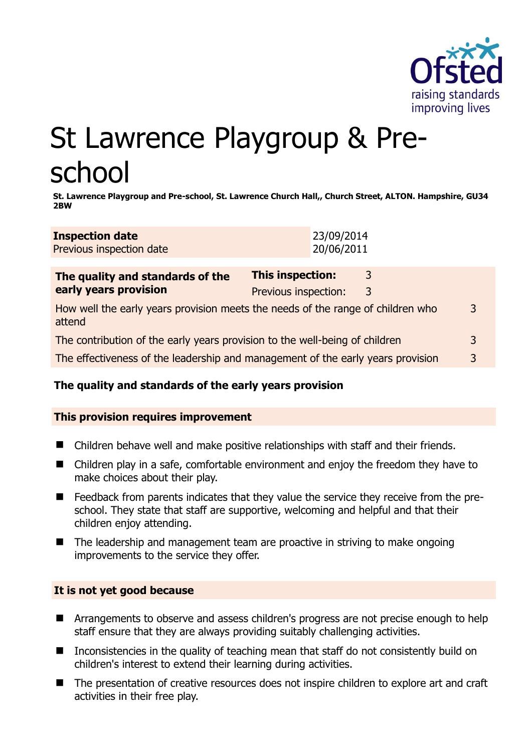

# St Lawrence Playgroup & Preschool

**St. Lawrence Playgroup and Pre-school, St. Lawrence Church Hall,, Church Street, ALTON. Hampshire, GU34 2BW** 

| <b>Inspection date</b>   | 23/09/2014 |
|--------------------------|------------|
| Previous inspection date | 20/06/2011 |

| The quality and standards of the                                                          | <b>This inspection:</b> |   |  |
|-------------------------------------------------------------------------------------------|-------------------------|---|--|
| early years provision                                                                     | Previous inspection:    | 3 |  |
| How well the early years provision meets the needs of the range of children who<br>attend |                         |   |  |
| The contribution of the early years provision to the well-being of children               |                         |   |  |
| The effectiveness of the leadership and management of the early years provision           |                         |   |  |

# **The quality and standards of the early years provision**

#### **This provision requires improvement**

- Children behave well and make positive relationships with staff and their friends.
- Children play in a safe, comfortable environment and enjoy the freedom they have to make choices about their play.
- Feedback from parents indicates that they value the service they receive from the preschool. They state that staff are supportive, welcoming and helpful and that their children enjoy attending.
- The leadership and management team are proactive in striving to make ongoing improvements to the service they offer.

# **It is not yet good because**

- Arrangements to observe and assess children's progress are not precise enough to help staff ensure that they are always providing suitably challenging activities.
- Inconsistencies in the quality of teaching mean that staff do not consistently build on children's interest to extend their learning during activities.
- The presentation of creative resources does not inspire children to explore art and craft activities in their free play.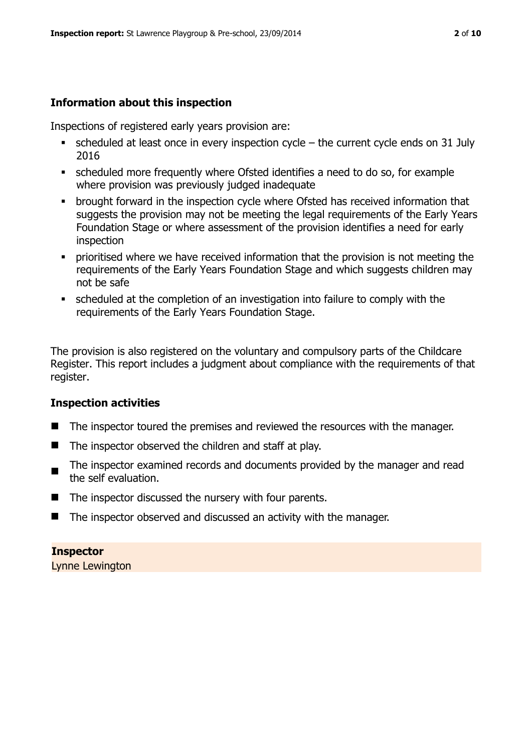# **Information about this inspection**

Inspections of registered early years provision are:

- $\bullet$  scheduled at least once in every inspection cycle the current cycle ends on 31 July 2016
- scheduled more frequently where Ofsted identifies a need to do so, for example where provision was previously judged inadequate
- **•** brought forward in the inspection cycle where Ofsted has received information that suggests the provision may not be meeting the legal requirements of the Early Years Foundation Stage or where assessment of the provision identifies a need for early inspection
- **•** prioritised where we have received information that the provision is not meeting the requirements of the Early Years Foundation Stage and which suggests children may not be safe
- scheduled at the completion of an investigation into failure to comply with the requirements of the Early Years Foundation Stage.

The provision is also registered on the voluntary and compulsory parts of the Childcare Register. This report includes a judgment about compliance with the requirements of that register.

# **Inspection activities**

- The inspector toured the premises and reviewed the resources with the manager.
- $\blacksquare$  The inspector observed the children and staff at play.
- The inspector examined records and documents provided by the manager and read the self evaluation.
- $\blacksquare$  The inspector discussed the nursery with four parents.
- The inspector observed and discussed an activity with the manager.

# **Inspector**

Lynne Lewington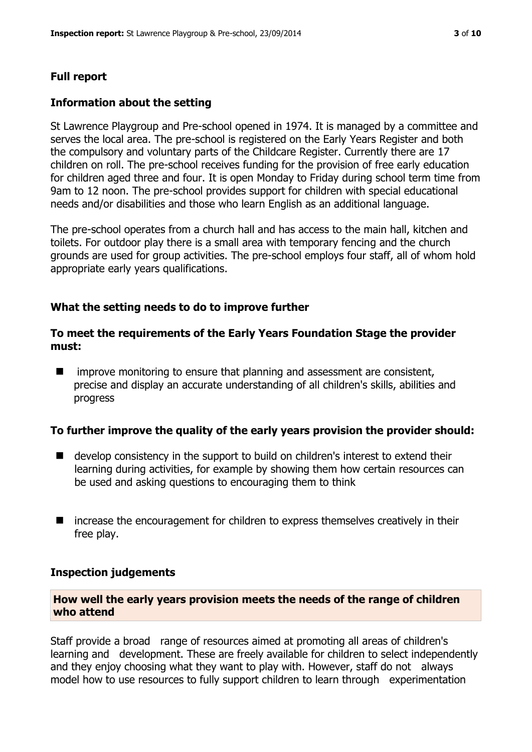# **Full report**

#### **Information about the setting**

St Lawrence Playgroup and Pre-school opened in 1974. It is managed by a committee and serves the local area. The pre-school is registered on the Early Years Register and both the compulsory and voluntary parts of the Childcare Register. Currently there are 17 children on roll. The pre-school receives funding for the provision of free early education for children aged three and four. It is open Monday to Friday during school term time from 9am to 12 noon. The pre-school provides support for children with special educational needs and/or disabilities and those who learn English as an additional language.

The pre-school operates from a church hall and has access to the main hall, kitchen and toilets. For outdoor play there is a small area with temporary fencing and the church grounds are used for group activities. The pre-school employs four staff, all of whom hold appropriate early years qualifications.

#### **What the setting needs to do to improve further**

#### **To meet the requirements of the Early Years Foundation Stage the provider must:**

 $\blacksquare$  improve monitoring to ensure that planning and assessment are consistent, precise and display an accurate understanding of all children's skills, abilities and progress

#### **To further improve the quality of the early years provision the provider should:**

- develop consistency in the support to build on children's interest to extend their learning during activities, for example by showing them how certain resources can be used and asking questions to encouraging them to think
- increase the encouragement for children to express themselves creatively in their free play.

#### **Inspection judgements**

#### **How well the early years provision meets the needs of the range of children who attend**

Staff provide a broad range of resources aimed at promoting all areas of children's learning and development. These are freely available for children to select independently and they enjoy choosing what they want to play with. However, staff do not always model how to use resources to fully support children to learn through experimentation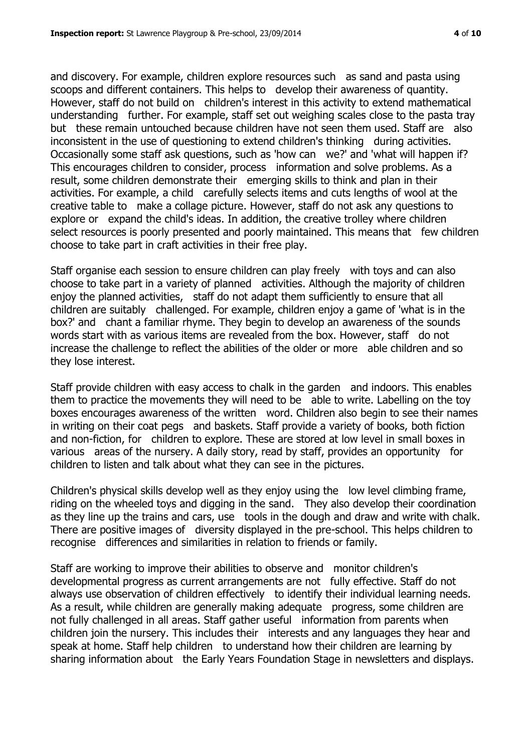and discovery. For example, children explore resources such as sand and pasta using scoops and different containers. This helps to develop their awareness of quantity. However, staff do not build on children's interest in this activity to extend mathematical understanding further. For example, staff set out weighing scales close to the pasta tray but these remain untouched because children have not seen them used. Staff are also inconsistent in the use of questioning to extend children's thinking during activities. Occasionally some staff ask questions, such as 'how can we?' and 'what will happen if? This encourages children to consider, process information and solve problems. As a result, some children demonstrate their emerging skills to think and plan in their activities. For example, a child carefully selects items and cuts lengths of wool at the creative table to make a collage picture. However, staff do not ask any questions to explore or expand the child's ideas. In addition, the creative trolley where children select resources is poorly presented and poorly maintained. This means that few children choose to take part in craft activities in their free play.

Staff organise each session to ensure children can play freely with toys and can also choose to take part in a variety of planned activities. Although the majority of children enjoy the planned activities, staff do not adapt them sufficiently to ensure that all children are suitably challenged. For example, children enjoy a game of 'what is in the box?' and chant a familiar rhyme. They begin to develop an awareness of the sounds words start with as various items are revealed from the box. However, staff do not increase the challenge to reflect the abilities of the older or more able children and so they lose interest.

Staff provide children with easy access to chalk in the garden and indoors. This enables them to practice the movements they will need to be able to write. Labelling on the toy boxes encourages awareness of the written word. Children also begin to see their names in writing on their coat pegs and baskets. Staff provide a variety of books, both fiction and non-fiction, for children to explore. These are stored at low level in small boxes in various areas of the nursery. A daily story, read by staff, provides an opportunity for children to listen and talk about what they can see in the pictures.

Children's physical skills develop well as they enjoy using the low level climbing frame, riding on the wheeled toys and digging in the sand. They also develop their coordination as they line up the trains and cars, use tools in the dough and draw and write with chalk. There are positive images of diversity displayed in the pre-school. This helps children to recognise differences and similarities in relation to friends or family.

Staff are working to improve their abilities to observe and monitor children's developmental progress as current arrangements are not fully effective. Staff do not always use observation of children effectively to identify their individual learning needs. As a result, while children are generally making adequate progress, some children are not fully challenged in all areas. Staff gather useful information from parents when children join the nursery. This includes their interests and any languages they hear and speak at home. Staff help children to understand how their children are learning by sharing information about the Early Years Foundation Stage in newsletters and displays.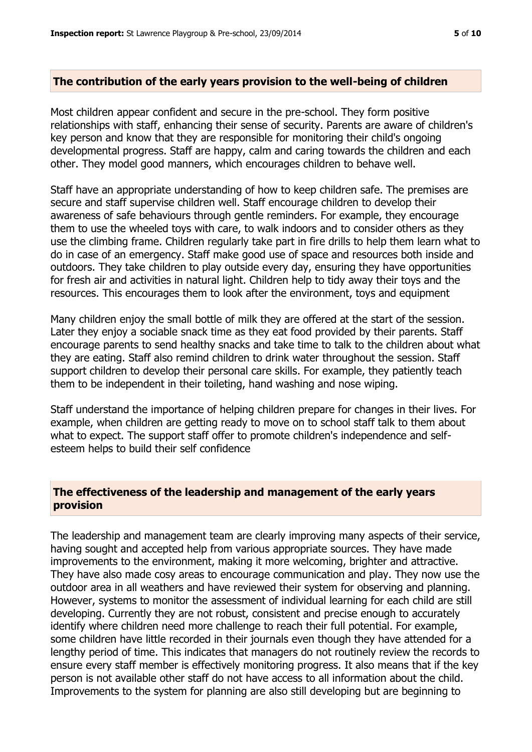# **The contribution of the early years provision to the well-being of children**

Most children appear confident and secure in the pre-school. They form positive relationships with staff, enhancing their sense of security. Parents are aware of children's key person and know that they are responsible for monitoring their child's ongoing developmental progress. Staff are happy, calm and caring towards the children and each other. They model good manners, which encourages children to behave well.

Staff have an appropriate understanding of how to keep children safe. The premises are secure and staff supervise children well. Staff encourage children to develop their awareness of safe behaviours through gentle reminders. For example, they encourage them to use the wheeled toys with care, to walk indoors and to consider others as they use the climbing frame. Children regularly take part in fire drills to help them learn what to do in case of an emergency. Staff make good use of space and resources both inside and outdoors. They take children to play outside every day, ensuring they have opportunities for fresh air and activities in natural light. Children help to tidy away their toys and the resources. This encourages them to look after the environment, toys and equipment

Many children enjoy the small bottle of milk they are offered at the start of the session. Later they enjoy a sociable snack time as they eat food provided by their parents. Staff encourage parents to send healthy snacks and take time to talk to the children about what they are eating. Staff also remind children to drink water throughout the session. Staff support children to develop their personal care skills. For example, they patiently teach them to be independent in their toileting, hand washing and nose wiping.

Staff understand the importance of helping children prepare for changes in their lives. For example, when children are getting ready to move on to school staff talk to them about what to expect. The support staff offer to promote children's independence and selfesteem helps to build their self confidence

# **The effectiveness of the leadership and management of the early years provision**

The leadership and management team are clearly improving many aspects of their service, having sought and accepted help from various appropriate sources. They have made improvements to the environment, making it more welcoming, brighter and attractive. They have also made cosy areas to encourage communication and play. They now use the outdoor area in all weathers and have reviewed their system for observing and planning. However, systems to monitor the assessment of individual learning for each child are still developing. Currently they are not robust, consistent and precise enough to accurately identify where children need more challenge to reach their full potential. For example, some children have little recorded in their journals even though they have attended for a lengthy period of time. This indicates that managers do not routinely review the records to ensure every staff member is effectively monitoring progress. It also means that if the key person is not available other staff do not have access to all information about the child. Improvements to the system for planning are also still developing but are beginning to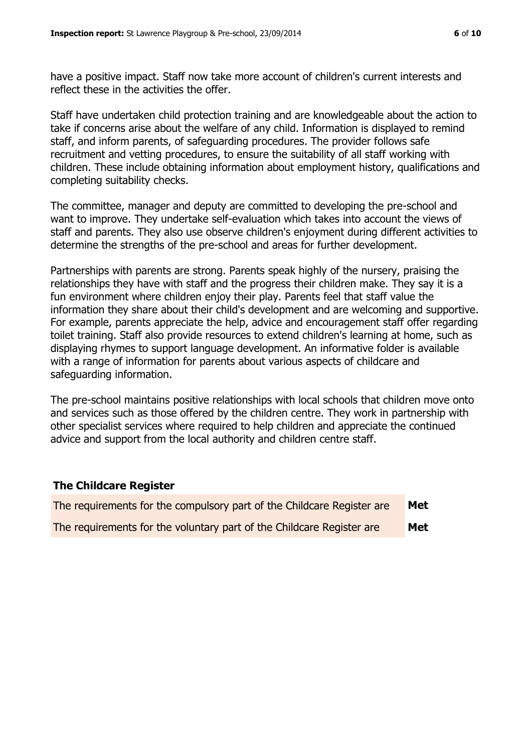have a positive impact. Staff now take more account of children's current interests and reflect these in the activities the offer.

Staff have undertaken child protection training and are knowledgeable about the action to take if concerns arise about the welfare of any child. Information is displayed to remind staff, and inform parents, of safeguarding procedures. The provider follows safe recruitment and vetting procedures, to ensure the suitability of all staff working with children. These include obtaining information about employment history, qualifications and completing suitability checks.

The committee, manager and deputy are committed to developing the pre-school and want to improve. They undertake self-evaluation which takes into account the views of staff and parents. They also use observe children's enjoyment during different activities to determine the strengths of the pre-school and areas for further development.

Partnerships with parents are strong. Parents speak highly of the nursery, praising the relationships they have with staff and the progress their children make. They say it is a fun environment where children enjoy their play. Parents feel that staff value the information they share about their child's development and are welcoming and supportive. For example, parents appreciate the help, advice and encouragement staff offer regarding toilet training. Staff also provide resources to extend children's learning at home, such as displaying rhymes to support language development. An informative folder is available with a range of information for parents about various aspects of childcare and safeguarding information.

The pre-school maintains positive relationships with local schools that children move onto and services such as those offered by the children centre. They work in partnership with other specialist services where required to help children and appreciate the continued advice and support from the local authority and children centre staff.

#### **The Childcare Register**

| The requirements for the compulsory part of the Childcare Register are | Met |
|------------------------------------------------------------------------|-----|
| The requirements for the voluntary part of the Childcare Register are  | Met |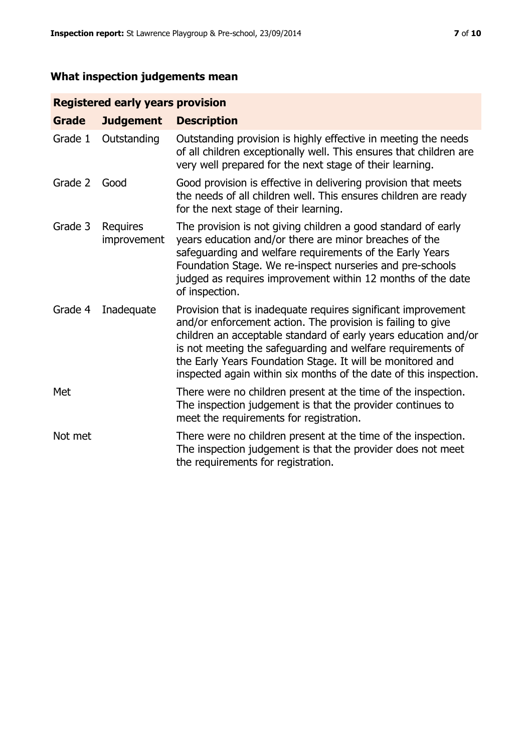# **What inspection judgements mean**

# **Registered early years provision**

| <b>Grade</b> | <b>Judgement</b>        | <b>Description</b>                                                                                                                                                                                                                                                                                                                                                                                |
|--------------|-------------------------|---------------------------------------------------------------------------------------------------------------------------------------------------------------------------------------------------------------------------------------------------------------------------------------------------------------------------------------------------------------------------------------------------|
| Grade 1      | Outstanding             | Outstanding provision is highly effective in meeting the needs<br>of all children exceptionally well. This ensures that children are<br>very well prepared for the next stage of their learning.                                                                                                                                                                                                  |
| Grade 2      | Good                    | Good provision is effective in delivering provision that meets<br>the needs of all children well. This ensures children are ready<br>for the next stage of their learning.                                                                                                                                                                                                                        |
| Grade 3      | Requires<br>improvement | The provision is not giving children a good standard of early<br>years education and/or there are minor breaches of the<br>safeguarding and welfare requirements of the Early Years<br>Foundation Stage. We re-inspect nurseries and pre-schools<br>judged as requires improvement within 12 months of the date<br>of inspection.                                                                 |
| Grade 4      | Inadequate              | Provision that is inadequate requires significant improvement<br>and/or enforcement action. The provision is failing to give<br>children an acceptable standard of early years education and/or<br>is not meeting the safeguarding and welfare requirements of<br>the Early Years Foundation Stage. It will be monitored and<br>inspected again within six months of the date of this inspection. |
| Met          |                         | There were no children present at the time of the inspection.<br>The inspection judgement is that the provider continues to<br>meet the requirements for registration.                                                                                                                                                                                                                            |
| Not met      |                         | There were no children present at the time of the inspection.<br>The inspection judgement is that the provider does not meet<br>the requirements for registration.                                                                                                                                                                                                                                |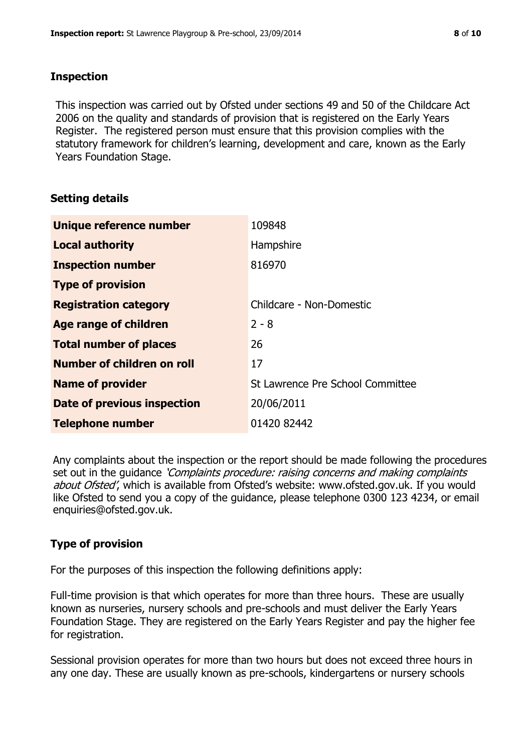#### **Inspection**

This inspection was carried out by Ofsted under sections 49 and 50 of the Childcare Act 2006 on the quality and standards of provision that is registered on the Early Years Register. The registered person must ensure that this provision complies with the statutory framework for children's learning, development and care, known as the Early Years Foundation Stage.

# **Setting details**

| Unique reference number       | 109848                           |
|-------------------------------|----------------------------------|
| <b>Local authority</b>        | Hampshire                        |
| <b>Inspection number</b>      | 816970                           |
| <b>Type of provision</b>      |                                  |
| <b>Registration category</b>  | Childcare - Non-Domestic         |
| Age range of children         | $2 - 8$                          |
| <b>Total number of places</b> | 26                               |
| Number of children on roll    | 17                               |
| <b>Name of provider</b>       | St Lawrence Pre School Committee |
| Date of previous inspection   | 20/06/2011                       |
| <b>Telephone number</b>       | 01420 82442                      |

Any complaints about the inspection or the report should be made following the procedures set out in the guidance *'Complaints procedure: raising concerns and making complaints* about Ofsted', which is available from Ofsted's website: www.ofsted.gov.uk. If you would like Ofsted to send you a copy of the guidance, please telephone 0300 123 4234, or email enquiries@ofsted.gov.uk.

# **Type of provision**

For the purposes of this inspection the following definitions apply:

Full-time provision is that which operates for more than three hours. These are usually known as nurseries, nursery schools and pre-schools and must deliver the Early Years Foundation Stage. They are registered on the Early Years Register and pay the higher fee for registration.

Sessional provision operates for more than two hours but does not exceed three hours in any one day. These are usually known as pre-schools, kindergartens or nursery schools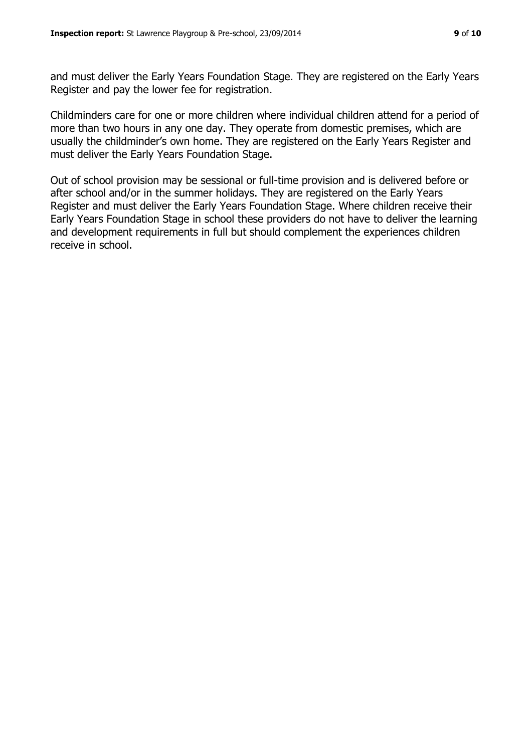and must deliver the Early Years Foundation Stage. They are registered on the Early Years Register and pay the lower fee for registration.

Childminders care for one or more children where individual children attend for a period of more than two hours in any one day. They operate from domestic premises, which are usually the childminder's own home. They are registered on the Early Years Register and must deliver the Early Years Foundation Stage.

Out of school provision may be sessional or full-time provision and is delivered before or after school and/or in the summer holidays. They are registered on the Early Years Register and must deliver the Early Years Foundation Stage. Where children receive their Early Years Foundation Stage in school these providers do not have to deliver the learning and development requirements in full but should complement the experiences children receive in school.